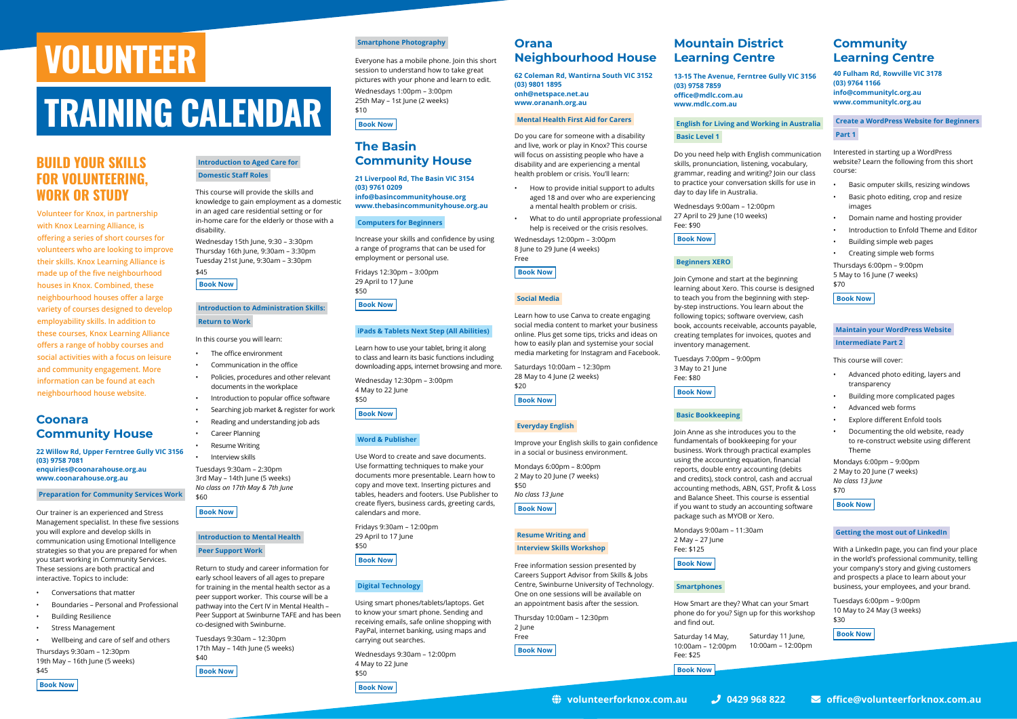## **TRAINING CALENDAR**

# **VOLUNTEER**

#### **Coonara Community House**

**22 Willow Rd, Upper Ferntree Gully VIC 3156 (03) 9758 7081 enquiries@coonarahouse.org.au www.coonarahouse.org.au**

#### **Preparation for Community Services Work**

Our trainer is an experienced and Stress Management specialist. In these five sessions you will explore and develop skills in communication using Emotional Intelligence strategies so that you are prepared for when you start working in Community Services. These sessions are both practical and interactive. Topics to include:

- The office environment
- Communication in the office
- Policies, procedures and other relevant documents in the workplace
- Introduction to popular office software
- Searching job market & register for work
- Reading and understanding job ads
- Career Planning
- **Resume Writing**

- Conversations that matter
- Boundaries Personal and Professional
- Building Resilience
- Stress Management
- Wellbeing and care of self and others

Thursdays 9:30am – 12:30pm 19th May – 16th June (5 weeks)

#### \$45 **[Book Now](https://www.coonarahouse.org.au/courses/find-a-course)**



This course will provide the skills and knowledge to gain employment as a domestic in an aged care residential setting or for in-home care for the elderly or those with a disability.

Wednesday 15th June, 9:30 – 3:30pm Thursday 16th June, 9:30am – 3:30pm Tuesday 21st June, 9:30am – 3:30pm

#### \$45 **[Book Now](https://www.coonarahouse.org.au/courses/find-a-course)**

#### **Introduction to Administration Skills: Return to Work**

In this course you will learn:

• Interview skills Tuesdays 9:30am – 2:30pm 3rd May – 14th June (5 weeks) *No class on 17th May & 7th June* \$60

#### **[Book Now](https://www.coonarahouse.org.au/courses/find-a-course)**

#### **Introduction to Mental Health Peer Support Work**

Return to study and career information for early school leavers of all ages to prepare for training in the mental health sector as a peer support worker. This course will be a pathway into the Cert IV in Mental Health – Peer Support at Swinburne TAFE and has been co-designed with Swinburne.

Tuesdays 9:30am – 12:30pm 17th May – 14th June (5 weeks) \$40

**[Book Now](https://www.coonarahouse.org.au/courses/find-a-course)**

#### **Orana Neighbourhood House**

**62 Coleman Rd, Wantirna South VIC 3152 (03) 9801 1895 onh@netspace.net.au www.orananh.org.au**

#### **Mental Health First Aid for Carers**

Do you care for someone with a disability and live, work or play in Knox? This course will focus on assisting people who have a disability and are experiencing a mental health problem or crisis. You'll learn:

- How to provide initial support to adults aged 18 and over who are experiencing a mental health problem or crisis.
- What to do until appropriate professional help is received or the crisis resolves.

Wednesdays 12:00pm – 3:00pm 8 June to 29 June (4 weeks) Free

**[Book Now](https://www.orananh.org.au/index.php/en/find-a-course)**

#### **Social Media**

Learn how to use Canva to create engaging social media content to market your business online. Plus get some tips, tricks and ideas on how to easily plan and systemise your social media marketing for Instagram and Facebook.

Saturdays 10:00am – 12:30pm 28 May to 4 June (2 weeks) \$20

**[Book Now](https://www.orananh.org.au/index.php/en/find-a-course)**

#### **Everyday English**

Improve your English skills to gain confidence in a social or business environment. Mondays 6:00pm – 8:00pm

2 May to 20 June (7 weeks)  $$50$ *No class 13 June*

**[Book Now](https://www.orananh.org.au/index.php/en/find-a-course)**

#### **Resume Writing and Interview Skills Workshop**

Free information session presented by

Careers Support Advisor from Skills & Jobs Centre, Swinburne University of Technology. One on one sessions will be available on an appointment basis after the session.

Thursday 10:00am – 12:30pm 2 June Free

**[Book Now](https://www.orananh.org.au/index.php/en/find-a-course)**

#### **Smartphone Photography**

Everyone has a mobile phone. Join this short session to understand how to take great pictures with your phone and learn to edit. Wednesdays 1:00pm – 3:00pm 25th May – 1st June (2 weeks) \$10

**[Book Now](https://www.coonarahouse.org.au/courses/find-a-course)**

### **The Basin Community House**

**21 Liverpool Rd, The Basin VIC 3154 (03) 9761 0209 info@basincommunityhouse.org www.thebasincommunityhouse.org.au**

#### **Computers for Beginners**

Increase your skills and confidence by using a range of programs that can be used for employment or personal use.

Fridays 12:30pm – 3:00pm 29 April to 17 June \$50

**[Book Now](https://www.thebasincommunityhouse.org.au/index.php/en/kla-course-guide)**

#### **iPads & Tablets Next Step (All Abilities)**

Tuesdays 6:00pm – 9:00pm 10 May to 24 May (3 weeks)  $430$ 

rday 11 June, **[Book Now](https://communitylc.org.au/)** 

Learn how to use your tablet, bring it along to class and learn its basic functions including downloading apps, internet browsing and more.

Wednesday 12:30pm – 3:00pm 4 May to 22 June \$50

**[Book Now](https://www.thebasincommunityhouse.org.au/index.php/en/kla-course-guide)**

#### **Word & Publisher**

Use Word to create and save documents. Use formatting techniques to make your documents more presentable. Learn how to copy and move text. Inserting pictures and tables, headers and footers. Use Publisher to create flyers, business cards, greeting cards, calendars and more.

Fridays 9:30am – 12:00pm 29 April to 17 June \$50

**[Book Now](https://www.thebasincommunityhouse.org.au/index.php/en/kla-course-guide)**

#### **Digital Technology**

Using smart phones/tablets/laptops. Get to know your smart phone. Sending and receiving emails, safe online shopping with PayPal, internet banking, using maps and carrying out searches.

Wednesdays 9:30am – 12:00pm 4 May to 22 June \$50

**[Book Now](https://www.thebasincommunityhouse.org.au/index.php/en/kla-course-guide)**

### **Mountain District Learning Centre**

**13-15 The Avenue, Ferntree Gully VIC 3156 (03) 9758 7859 office@mdlc.com.au www.mdlc.com.au**

#### **English for Living and Working in Australia Basic Level 1**

Do you need help with English communication skills, pronunciation, listening, vocabulary, grammar, reading and writing? Join our class to practice your conversation skills for use in day to day life in Australia.

Wednesdays 9:00am – 12:00pm 27 April to 29 June (10 weeks) Fee: \$90

#### **[Book Now](https://www.mdlc.com.au/)**

#### **Beginners XERO**

Join Cymone and start at the beginning learning about Xero. This course is designed to teach you from the beginning with stepby-step instructions. You learn about the following topics; software overview, cash book, accounts receivable, accounts payable, creating templates for invoices, quotes and inventory management.

Tuesdays 7:00pm – 9:00pm 3 May to 21 June Fee: \$80

**[Book Now](https://www.mdlc.com.au/)**

#### **Basic Bookkeeping**

Join Anne as she introduces you to the fundamentals of bookkeeping for your business. Work through practical examples using the accounting equation, financial reports, double entry accounting (debits and credits), stock control, cash and accrual accounting methods, ABN, GST, Profit & Loss and Balance Sheet. This course is essential if you want to study an accounting software package such as MYOB or Xero.

Mondays 9:00am – 11:30am 2 May – 27 June Fee: \$125

**[Book Now](https://www.mdlc.com.au/)**

#### **Smartphones**

How Smart are they? What can your Smart phone do for you? Sign up for this workshop and find out.

| Saturday 14 May,    | Satur |
|---------------------|-------|
| $10:00am - 12:00pm$ | 10:00 |
| Fee: \$25           |       |
| <b>Book Now</b>     |       |

## **BUILD YOUR SKILLS FOR VOLUNTEERING, WORK OR STUDY**

**Volunteer for Knox, in partnership with Knox Learning Alliance, is offering a series of short courses for volunteers who are looking to improve their skills. Knox Learning Alliance is made up of the five neighbourhood houses in Knox. Combined, these neighbourhood houses offer a large variety of courses designed to develop employability skills. In addition to these courses, Knox Learning Alliance offers a range of hobby courses and social activities with a focus on leisure and community engagement. More information can be found at each neighbourhood house website.**

### **Community Learning Centre**

**40 Fulham Rd, Rowville VIC 3178 (03) 9764 1166 info@communitylc.org.au www.communitylc.org.au**

**Create a WordPress Website for Beginners Part 1**

Interested in starting up a WordPress website? Learn the following from this short course:

- Basic omputer skills, resizing windows
- Basic photo editing, crop and resize images
- Domain name and hosting provider
- Introduction to Enfold Theme and Editor
- Building simple web pages

• Creating simple web forms

Thursdays 6:00pm – 9:00pm 5 May to 16 June (7 weeks) \$70

#### **[Book Now](https://communitylc.org.au/)**

#### **Maintain your WordPress Website Intermediate Part 2**

This course will cover:

- Advanced photo editing, layers and transparency
- Building more complicated pages
- Advanced web forms
- Explore different Enfold tools
- Documenting the old website, ready to re-construct website using different Theme

Mondays 6:00pm – 9:00pm 2 May to 20 June (7 weeks) *No class 13 June* \$70

**[Book Now](https://communitylc.org.au/)**

#### **Getting the most out of LinkedIn**

With a LinkedIn page, you can find your place in the world's professional community, telling your company's story and giving customers and prospects a place to learn about your business, your employees, and your brand.



0am – 12:00pm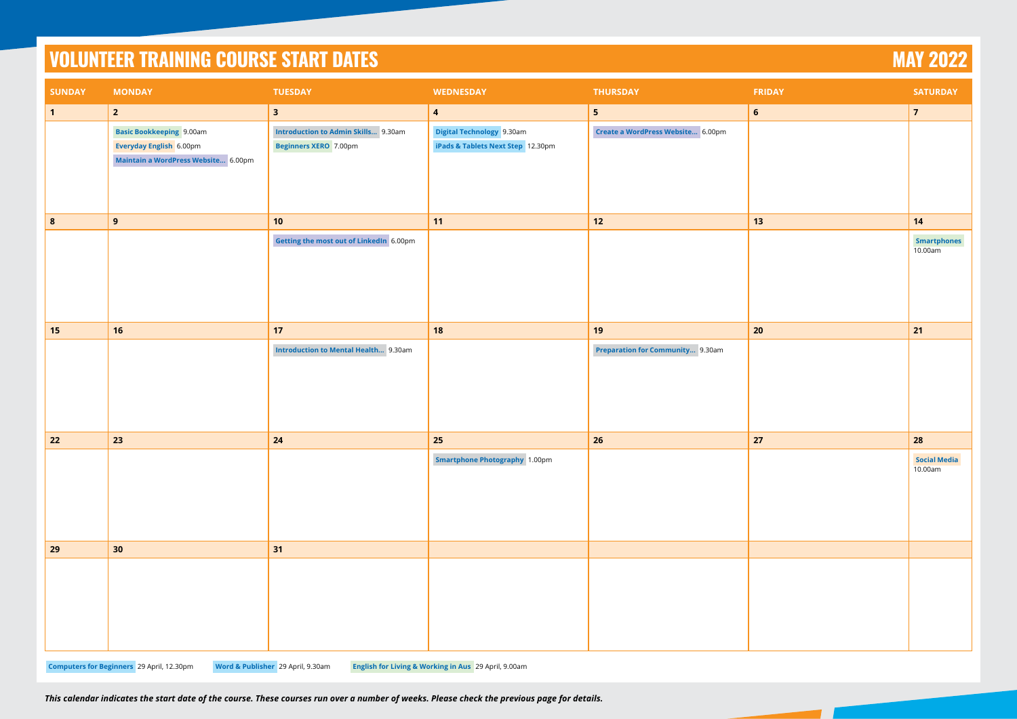|               | <b>VOLUNTEER TRAINING COURSE START DATES</b>                                                      |                                                                            |                                                                |                                         |                | <b>MAY 2022</b>                |
|---------------|---------------------------------------------------------------------------------------------------|----------------------------------------------------------------------------|----------------------------------------------------------------|-----------------------------------------|----------------|--------------------------------|
| <b>SUNDAY</b> | <b>MONDAY</b>                                                                                     | <b>TUESDAY</b>                                                             | <b>WEDNESDAY</b>                                               | <b>THURSDAY</b>                         | <b>FRIDAY</b>  | <b>SATURDAY</b>                |
| $\mathbf 1$   | $\overline{2}$                                                                                    | $\overline{\mathbf{3}}$                                                    | $\overline{\mathbf{4}}$                                        | 5 <sub>5</sub>                          | $6\phantom{1}$ | $\overline{7}$                 |
|               | <b>Basic Bookkeeping</b> 9.00am<br>Everyday English 6.00pm<br>Maintain a WordPress Website 6.00pm | <b>Introduction to Admin Skills</b> 9.30am<br><b>Beginners XERO</b> 7.00pm | Digital Technology 9.30am<br>iPads & Tablets Next Step 12.30pm | Create a WordPress Website 6.00pm       |                |                                |
| 8             | 9                                                                                                 | 10                                                                         | 11                                                             | $12$                                    | 13             | 14                             |
|               |                                                                                                   | Getting the most out of LinkedIn 6.00pm                                    |                                                                |                                         |                | <b>Smartphones</b><br>10.00am  |
| 15            | 16                                                                                                | 17                                                                         | 18                                                             | 19                                      | 20             | 21                             |
|               |                                                                                                   | <b>Introduction to Mental Health</b> 9.30am                                |                                                                | <b>Preparation for Community</b> 9.30am |                |                                |
| 22            | 23                                                                                                | 24                                                                         | 25                                                             | 26                                      | 27             | 28                             |
|               |                                                                                                   |                                                                            | <b>Smartphone Photography 1.00pm</b>                           |                                         |                | <b>Social Media</b><br>10.00am |
| 29            | 30 <sub>o</sub>                                                                                   | 31                                                                         |                                                                |                                         |                |                                |
|               |                                                                                                   | Word & Publisher 29 April, 9.30am                                          |                                                                |                                         |                |                                |